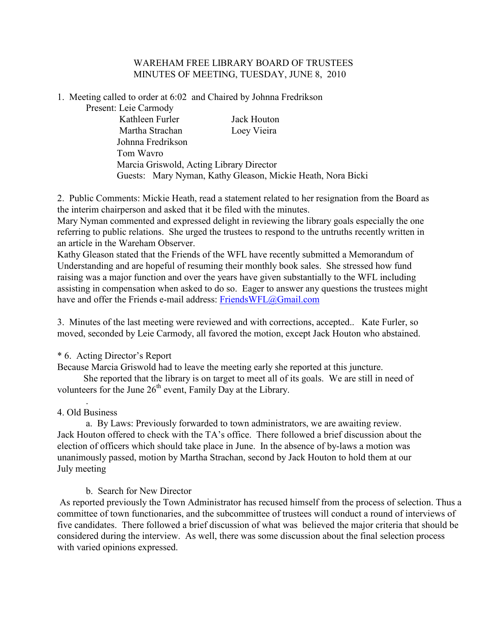## WAREHAM FREE LIBRARY BOARD OF TRUSTEES MINUTES OF MEETING, TUESDAY, JUNE 8, 2010

1. Meeting called to order at 6:02 and Chaired by Johnna Fredrikson

Present: Leie Carmody

Kathleen Furler Jack Houton Martha Strachan Loey Vieira Johnna Fredrikson Tom Wavro Marcia Griswold, Acting Library Director Guests: Mary Nyman, Kathy Gleason, Mickie Heath, Nora Bicki

2. Public Comments: Mickie Heath, read a statement related to her resignation from the Board as the interim chairperson and asked that it be filed with the minutes.

Mary Nyman commented and expressed delight in reviewing the library goals especially the one referring to public relations. She urged the trustees to respond to the untruths recently written in an article in the Wareham Observer.

Kathy Gleason stated that the Friends of the WFL have recently submitted a Memorandum of Understanding and are hopeful of resuming their monthly book sales. She stressed how fund raising was a major function and over the years have given substantially to the WFL including assisting in compensation when asked to do so. Eager to answer any questions the trustees might have and offer the Friends e-mail address: FriendsWFL@Gmail.com

3. Minutes of the last meeting were reviewed and with corrections, accepted.. Kate Furler, so moved, seconded by Leie Carmody, all favored the motion, except Jack Houton who abstained.

\* 6. Acting Director's Report

Because Marcia Griswold had to leave the meeting early she reported at this juncture.

 She reported that the library is on target to meet all of its goals. We are still in need of volunteers for the June  $26<sup>th</sup>$  event, Family Day at the Library.

. 4. Old Business

a. By Laws: Previously forwarded to town administrators, we are awaiting review. Jack Houton offered to check with the TA's office. There followed a brief discussion about the election of officers which should take place in June. In the absence of by-laws a motion was unanimously passed, motion by Martha Strachan, second by Jack Houton to hold them at our July meeting

b. Search for New Director

 As reported previously the Town Administrator has recused himself from the process of selection. Thus a committee of town functionaries, and the subcommittee of trustees will conduct a round of interviews of five candidates. There followed a brief discussion of what was believed the major criteria that should be considered during the interview. As well, there was some discussion about the final selection process with varied opinions expressed.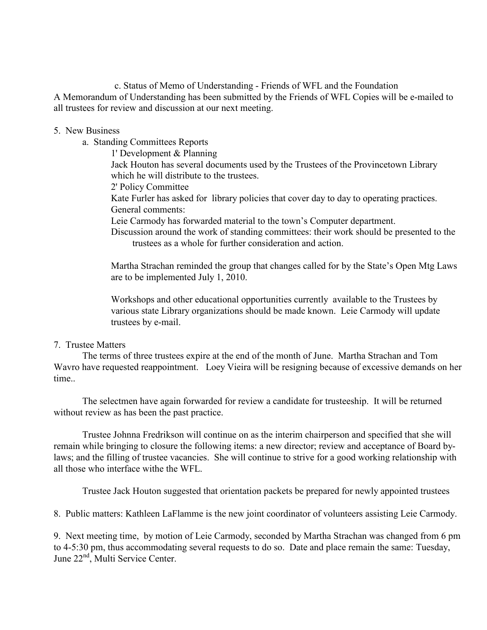c. Status of Memo of Understanding - Friends of WFL and the Foundation A Memorandum of Understanding has been submitted by the Friends of WFL Copies will be e-mailed to all trustees for review and discussion at our next meeting.

## 5. New Business

a. Standing Committees Reports

1' Development & Planning

Jack Houton has several documents used by the Trustees of the Provincetown Library which he will distribute to the trustees.

2' Policy Committee

Kate Furler has asked for library policies that cover day to day to operating practices. General comments:

Leie Carmody has forwarded material to the town's Computer department.

Discussion around the work of standing committees: their work should be presented to the trustees as a whole for further consideration and action.

Martha Strachan reminded the group that changes called for by the State's Open Mtg Laws are to be implemented July 1, 2010.

Workshops and other educational opportunities currently available to the Trustees by various state Library organizations should be made known. Leie Carmody will update trustees by e-mail.

## 7. Trustee Matters

The terms of three trustees expire at the end of the month of June. Martha Strachan and Tom Wavro have requested reappointment. Loey Vieira will be resigning because of excessive demands on her time..

The selectmen have again forwarded for review a candidate for trusteeship. It will be returned without review as has been the past practice.

Trustee Johnna Fredrikson will continue on as the interim chairperson and specified that she will remain while bringing to closure the following items: a new director; review and acceptance of Board bylaws; and the filling of trustee vacancies. She will continue to strive for a good working relationship with all those who interface withe the WFL.

Trustee Jack Houton suggested that orientation packets be prepared for newly appointed trustees

8. Public matters: Kathleen LaFlamme is the new joint coordinator of volunteers assisting Leie Carmody.

9. Next meeting time, by motion of Leie Carmody, seconded by Martha Strachan was changed from 6 pm to 4-5:30 pm, thus accommodating several requests to do so. Date and place remain the same: Tuesday, June 22<sup>nd</sup>, Multi Service Center.